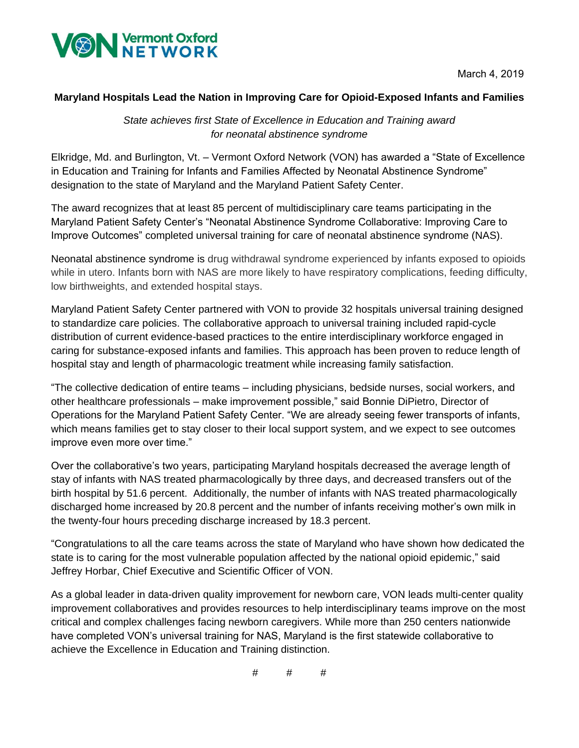

March 4, 2019

## **Maryland Hospitals Lead the Nation in Improving Care for Opioid-Exposed Infants and Families**

*State achieves first State of Excellence in Education and Training award for neonatal abstinence syndrome* 

Elkridge, Md. and Burlington, Vt. – Vermont Oxford Network (VON) has awarded a "State of Excellence in Education and Training for Infants and Families Affected by Neonatal Abstinence Syndrome" designation to the state of Maryland and the Maryland Patient Safety Center.

The award recognizes that at least 85 percent of multidisciplinary care teams participating in the Maryland Patient Safety Center's "Neonatal Abstinence Syndrome Collaborative: Improving Care to Improve Outcomes" completed universal training for care of neonatal abstinence syndrome (NAS).

Neonatal abstinence syndrome is drug withdrawal syndrome experienced by infants exposed to opioids while in utero. Infants born with NAS are more likely to have respiratory complications, feeding difficulty, low birthweights, and extended hospital stays.

Maryland Patient Safety Center partnered with VON to provide 32 hospitals universal training designed to standardize care policies. The collaborative approach to universal training included rapid-cycle distribution of current evidence-based practices to the entire interdisciplinary workforce engaged in caring for substance-exposed infants and families. This approach has been proven to reduce length of hospital stay and length of pharmacologic treatment while increasing family satisfaction.

"The collective dedication of entire teams – including physicians, bedside nurses, social workers, and other healthcare professionals – make improvement possible," said Bonnie DiPietro, Director of Operations for the Maryland Patient Safety Center. "We are already seeing fewer transports of infants, which means families get to stay closer to their local support system, and we expect to see outcomes improve even more over time."

Over the collaborative's two years, participating Maryland hospitals decreased the average length of stay of infants with NAS treated pharmacologically by three days, and decreased transfers out of the birth hospital by 51.6 percent. Additionally, the number of infants with NAS treated pharmacologically discharged home increased by 20.8 percent and the number of infants receiving mother's own milk in the twenty-four hours preceding discharge increased by 18.3 percent.

"Congratulations to all the care teams across the state of Maryland who have shown how dedicated the state is to caring for the most vulnerable population affected by the national opioid epidemic," said Jeffrey Horbar, Chief Executive and Scientific Officer of VON.

As a global leader in data-driven quality improvement for newborn care, VON leads multi-center quality improvement collaboratives and provides resources to help interdisciplinary teams improve on the most critical and complex challenges facing newborn caregivers. While more than 250 centers nationwide have completed VON's universal training for NAS, Maryland is the first statewide collaborative to achieve the Excellence in Education and Training distinction.

# # #